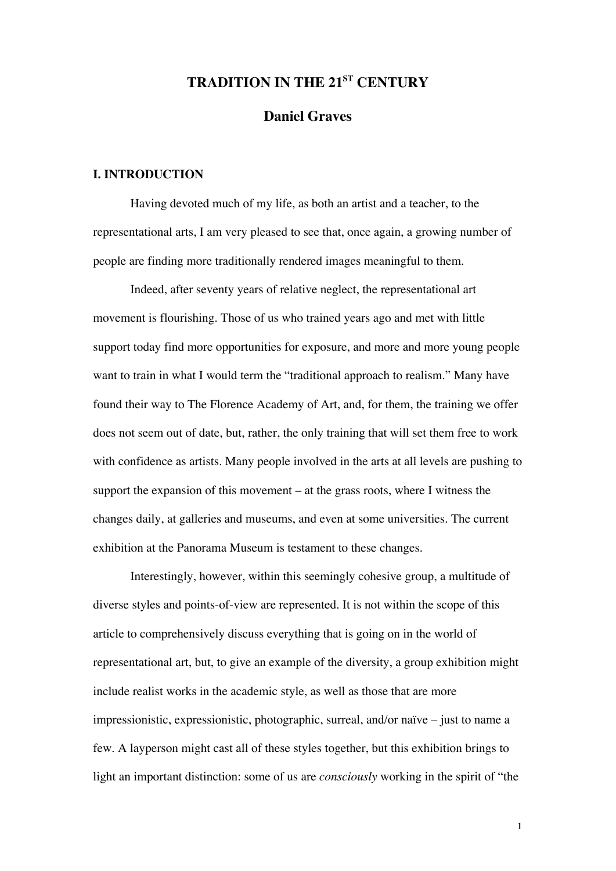# **TRADITION IN THE 21ST CENTURY**

# **Daniel Graves**

## **I. INTRODUCTION**

Having devoted much of my life, as both an artist and a teacher, to the representational arts, I am very pleased to see that, once again, a growing number of people are finding more traditionally rendered images meaningful to them.

Indeed, after seventy years of relative neglect, the representational art movement is flourishing. Those of us who trained years ago and met with little support today find more opportunities for exposure, and more and more young people want to train in what I would term the "traditional approach to realism." Many have found their way to The Florence Academy of Art, and, for them, the training we offer does not seem out of date, but, rather, the only training that will set them free to work with confidence as artists. Many people involved in the arts at all levels are pushing to support the expansion of this movement – at the grass roots, where I witness the changes daily, at galleries and museums, and even at some universities. The current exhibition at the Panorama Museum is testament to these changes.

Interestingly, however, within this seemingly cohesive group, a multitude of diverse styles and points-of-view are represented. It is not within the scope of this article to comprehensively discuss everything that is going on in the world of representational art, but, to give an example of the diversity, a group exhibition might include realist works in the academic style, as well as those that are more impressionistic, expressionistic, photographic, surreal, and/or naïve – just to name a few. A layperson might cast all of these styles together, but this exhibition brings to light an important distinction: some of us are *consciously* working in the spirit of "the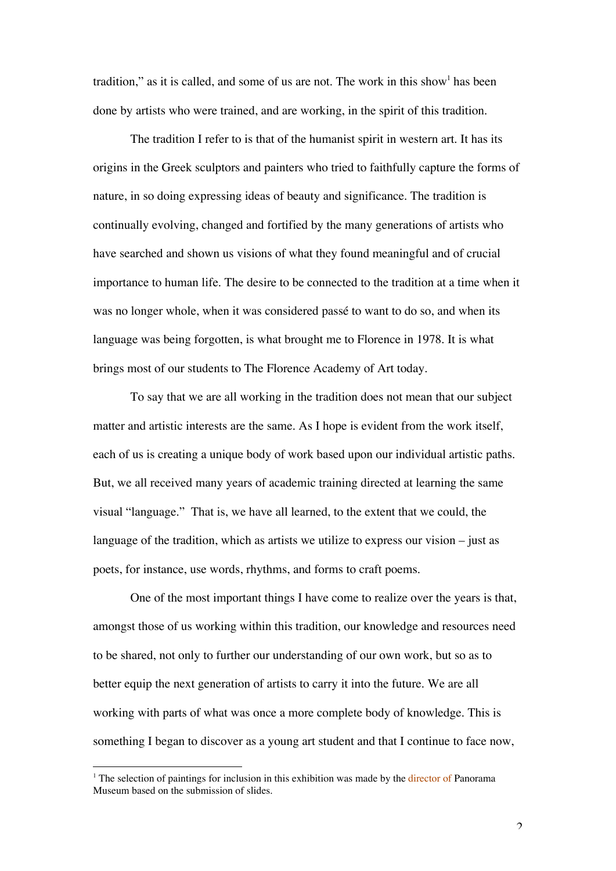tradition," as it is called, and some of us are not. The work in this show has been done by artists who were trained, and are working, in the spirit of this tradition.

The tradition I refer to is that of the humanist spirit in western art. It has its origins in the Greek sculptors and painters who tried to faithfully capture the forms of nature, in so doing expressing ideas of beauty and significance. The tradition is continually evolving, changed and fortified by the many generations of artists who have searched and shown us visions of what they found meaningful and of crucial importance to human life. The desire to be connected to the tradition at a time when it was no longer whole, when it was considered passé to want to do so, and when its language was being forgotten, is what brought me to Florence in 1978. It is what brings most of our students to The Florence Academy of Art today.

To say that we are all working in the tradition does not mean that our subject matter and artistic interests are the same. As I hope is evident from the work itself, each of us is creating a unique body of work based upon our individual artistic paths. But, we all received many years of academic training directed at learning the same visual "language." That is, we have all learned, to the extent that we could, the language of the tradition, which as artists we utilize to express our vision – just as poets, for instance, use words, rhythms, and forms to craft poems.

One of the most important things I have come to realize over the years is that, amongst those of us working within this tradition, our knowledge and resources need to be shared, not only to further our understanding of our own work, but so as to better equip the next generation of artists to carry it into the future. We are all working with parts of what was once a more complete body of knowledge. This is something I began to discover as a young art student and that I continue to face now,

<sup>&</sup>lt;sup>1</sup> The selection of paintings for inclusion in this exhibition was made by the director of Panorama Museum based on the submission of slides.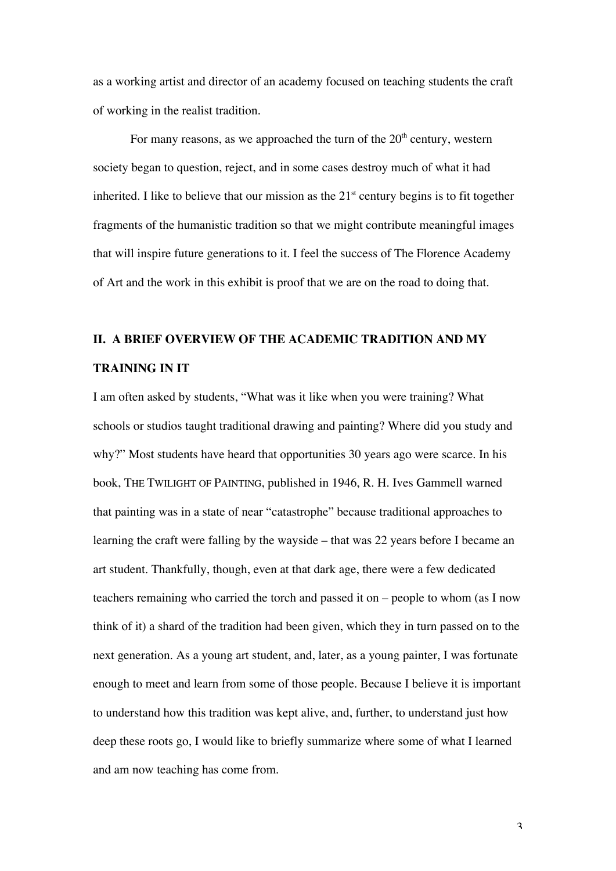as a working artist and director of an academy focused on teaching students the craft of working in the realist tradition.

For many reasons, as we approached the turn of the  $20<sup>th</sup>$  century, western society began to question, reject, and in some cases destroy much of what it had inherited. I like to believe that our mission as the  $21<sup>st</sup>$  century begins is to fit together fragments of the humanistic tradition so that we might contribute meaningful images that will inspire future generations to it. I feel the success of The Florence Academy of Art and the work in this exhibit is proof that we are on the road to doing that.

# **II. A BRIEF OVERVIEW OF THE ACADEMIC TRADITION AND MY TRAINING IN IT**

I am often asked by students, "What was it like when you were training? What schools or studios taught traditional drawing and painting? Where did you study and why?" Most students have heard that opportunities 30 years ago were scarce. In his book, THE TWILIGHT OF PAINTING, published in 1946, R. H. Ives Gammell warned that painting was in a state of near "catastrophe" because traditional approaches to learning the craft were falling by the wayside – that was 22 years before I became an art student. Thankfully, though, even at that dark age, there were a few dedicated teachers remaining who carried the torch and passed it on – people to whom (as I now think of it) a shard of the tradition had been given, which they in turn passed on to the next generation. As a young art student, and, later, as a young painter, I was fortunate enough to meet and learn from some of those people. Because I believe it is important to understand how this tradition was kept alive, and, further, to understand just how deep these roots go, I would like to briefly summarize where some of what I learned and am now teaching has come from.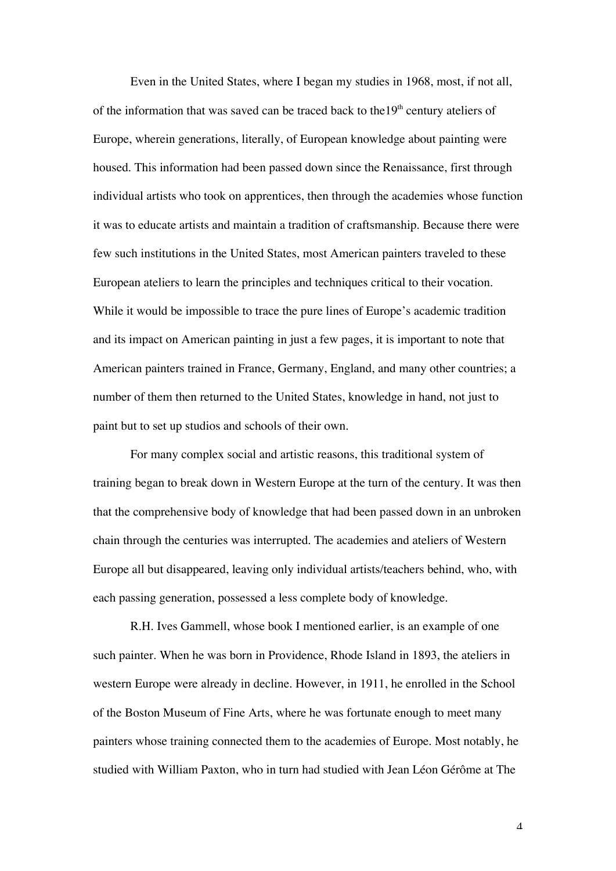Even in the United States, where I began my studies in 1968, most, if not all, of the information that was saved can be traced back to the  $19<sup>th</sup>$  century ateliers of Europe, wherein generations, literally, of European knowledge about painting were housed. This information had been passed down since the Renaissance, first through individual artists who took on apprentices, then through the academies whose function it was to educate artists and maintain a tradition of craftsmanship. Because there were few such institutions in the United States, most American painters traveled to these European ateliers to learn the principles and techniques critical to their vocation. While it would be impossible to trace the pure lines of Europe's academic tradition and its impact on American painting in just a few pages, it is important to note that American painters trained in France, Germany, England, and many other countries; a number of them then returned to the United States, knowledge in hand, not just to paint but to set up studios and schools of their own.

For many complex social and artistic reasons, this traditional system of training began to break down in Western Europe at the turn of the century. It was then that the comprehensive body of knowledge that had been passed down in an unbroken chain through the centuries was interrupted. The academies and ateliers of Western Europe all but disappeared, leaving only individual artists/teachers behind, who, with each passing generation, possessed a less complete body of knowledge.

R.H. Ives Gammell, whose book I mentioned earlier, is an example of one such painter. When he was born in Providence, Rhode Island in 1893, the ateliers in western Europe were already in decline. However, in 1911, he enrolled in the School of the Boston Museum of Fine Arts, where he was fortunate enough to meet many painters whose training connected them to the academies of Europe. Most notably, he studied with William Paxton, who in turn had studied with Jean Léon Gérôme at The

 $\Lambda$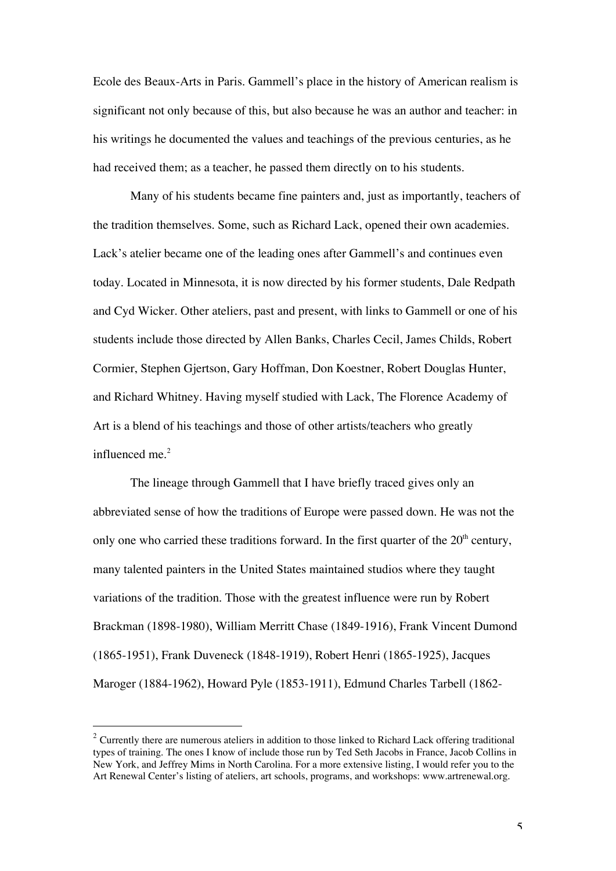Ecole des Beaux-Arts in Paris. Gammell's place in the history of American realism is significant not only because of this, but also because he was an author and teacher: in his writings he documented the values and teachings of the previous centuries, as he had received them; as a teacher, he passed them directly on to his students.

Many of his students became fine painters and, just as importantly, teachers of the tradition themselves. Some, such as Richard Lack, opened their own academies. Lack's atelier became one of the leading ones after Gammell's and continues even today. Located in Minnesota, it is now directed by his former students, Dale Redpath and Cyd Wicker. Other ateliers, past and present, with links to Gammell or one of his students include those directed by Allen Banks, Charles Cecil, James Childs, Robert Cormier, Stephen Gjertson, Gary Hoffman, Don Koestner, Robert Douglas Hunter, and Richard Whitney. Having myself studied with Lack, The Florence Academy of Art is a blend of his teachings and those of other artists/teachers who greatly influenced me.<sup>2</sup>

The lineage through Gammell that I have briefly traced gives only an abbreviated sense of how the traditions of Europe were passed down. He was not the only one who carried these traditions forward. In the first quarter of the  $20<sup>th</sup>$  century, many talented painters in the United States maintained studios where they taught variations of the tradition. Those with the greatest influence were run by Robert Brackman (1898-1980), William Merritt Chase (1849-1916), Frank Vincent Dumond (1865-1951), Frank Duveneck (1848-1919), Robert Henri (1865-1925), Jacques Maroger (1884-1962), Howard Pyle (1853-1911), Edmund Charles Tarbell (1862-

-

 $2$  Currently there are numerous ateliers in addition to those linked to Richard Lack offering traditional types of training. The ones I know of include those run by Ted Seth Jacobs in France, Jacob Collins in New York, and Jeffrey Mims in North Carolina. For a more extensive listing, I would refer you to the Art Renewal Center's listing of ateliers, art schools, programs, and workshops: www.artrenewal.org.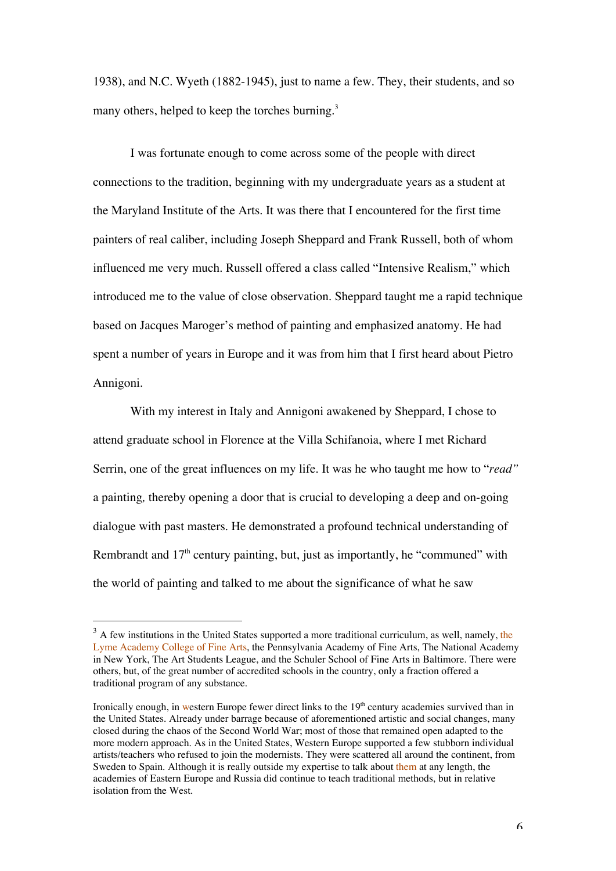1938), and N.C. Wyeth (1882-1945), just to name a few. They, their students, and so many others, helped to keep the torches burning.<sup>3</sup>

I was fortunate enough to come across some of the people with direct connections to the tradition, beginning with my undergraduate years as a student at the Maryland Institute of the Arts. It was there that I encountered for the first time painters of real caliber, including Joseph Sheppard and Frank Russell, both of whom influenced me very much. Russell offered a class called "Intensive Realism," which introduced me to the value of close observation. Sheppard taught me a rapid technique based on Jacques Maroger's method of painting and emphasized anatomy. He had spent a number of years in Europe and it was from him that I first heard about Pietro Annigoni.

With my interest in Italy and Annigoni awakened by Sheppard, I chose to attend graduate school in Florence at the Villa Schifanoia, where I met Richard Serrin, one of the great influences on my life. It was he who taught me how to "*read"* a painting*,* thereby opening a door that is crucial to developing a deep and on-going dialogue with past masters. He demonstrated a profound technical understanding of Rembrandt and  $17<sup>th</sup>$  century painting, but, just as importantly, he "communed" with the world of painting and talked to me about the significance of what he saw

-

 $3$  A few institutions in the United States supported a more traditional curriculum, as well, namely, the Lyme Academy College of Fine Arts, the Pennsylvania Academy of Fine Arts, The National Academy in New York, The Art Students League, and the Schuler School of Fine Arts in Baltimore. There were others, but, of the great number of accredited schools in the country, only a fraction offered a traditional program of any substance.

Ironically enough, in western Europe fewer direct links to the 19<sup>th</sup> century academies survived than in the United States. Already under barrage because of aforementioned artistic and social changes, many closed during the chaos of the Second World War; most of those that remained open adapted to the more modern approach. As in the United States, Western Europe supported a few stubborn individual artists/teachers who refused to join the modernists. They were scattered all around the continent, from Sweden to Spain. Although it is really outside my expertise to talk about them at any length, the academies of Eastern Europe and Russia did continue to teach traditional methods, but in relative isolation from the West.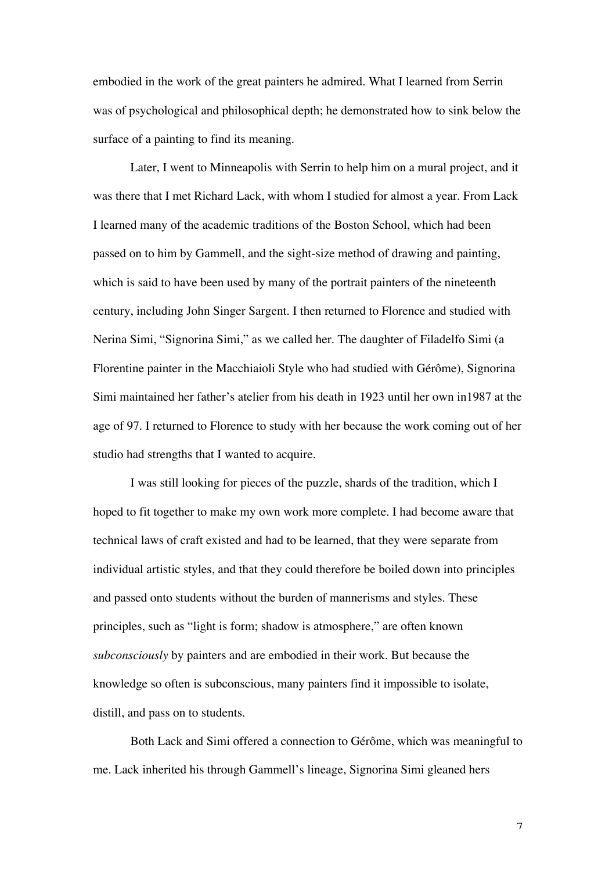embodied in the work of the great painters he admired. What I learned from Serrin was of psychological and philosophical depth; he demonstrated how to sink below the surface of a painting to find its meaning.

Later, I went to Minneapolis with Serrin to help him on a mural project, and it was there that I met Richard Lack, with whom I studied for almost a year. From Lack I learned many of the academic traditions of the Boston School, which had been passed on to him by Gammell, and the sight-size method of drawing and painting, which is said to have been used by many of the portrait painters of the nineteenth century, including John Singer Sargent. I then returned to Florence and studied with Nerina Simi, "Signorina Simi," as we called her. The daughter of Filadelfo Simi (a Florentine painter in the Macchiaioli Style who had studied with Gérôme), Signorina Simi maintained her father's atelier from his death in 1923 until her own in1987 at the age of 97. I returned to Florence to study with her because the work coming out of her studio had strengths that I wanted to acquire.

I was still looking for pieces of the puzzle, shards of the tradition, which I hoped to fit together to make my own work more complete. I had become aware that technical laws of craft existed and had to be learned, that they were separate from individual artistic styles, and that they could therefore be boiled down into principles and passed onto students without the burden of mannerisms and styles. These principles, such as "light is form; shadow is atmosphere," are often known *subconsciously* by painters and are embodied in their work. But because the knowledge so often is subconscious, many painters find it impossible to isolate, distill, and pass on to students.

Both Lack and Simi offered a connection to Gérôme, which was meaningful to me. Lack inherited his through Gammell's lineage, Signorina Simi gleaned hers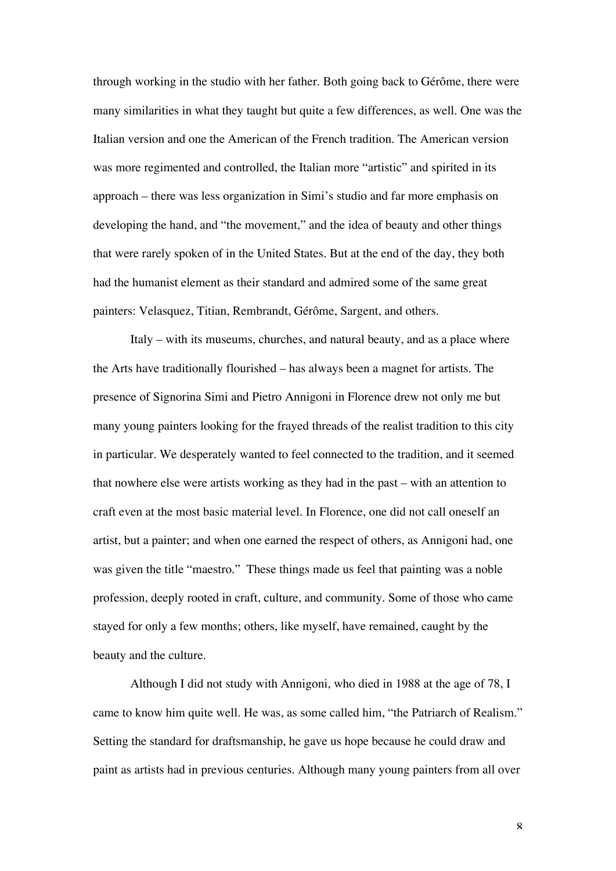through working in the studio with her father. Both going back to Gérôme, there were many similarities in what they taught but quite a few differences, as well. One was the Italian version and one the American of the French tradition. The American version was more regimented and controlled, the Italian more "artistic" and spirited in its approach – there was less organization in Simi's studio and far more emphasis on developing the hand, and "the movement," and the idea of beauty and other things that were rarely spoken of in the United States. But at the end of the day, they both had the humanist element as their standard and admired some of the same great painters: Velasquez, Titian, Rembrandt, Gérôme, Sargent, and others.

Italy – with its museums, churches, and natural beauty, and as a place where the Arts have traditionally flourished – has always been a magnet for artists. The presence of Signorina Simi and Pietro Annigoni in Florence drew not only me but many young painters looking for the frayed threads of the realist tradition to this city in particular. We desperately wanted to feel connected to the tradition, and it seemed that nowhere else were artists working as they had in the past – with an attention to craft even at the most basic material level. In Florence, one did not call oneself an artist, but a painter; and when one earned the respect of others, as Annigoni had, one was given the title "maestro." These things made us feel that painting was a noble profession, deeply rooted in craft, culture, and community. Some of those who came stayed for only a few months; others, like myself, have remained, caught by the beauty and the culture.

Although I did not study with Annigoni, who died in 1988 at the age of 78, I came to know him quite well. He was, as some called him, "the Patriarch of Realism." Setting the standard for draftsmanship, he gave us hope because he could draw and paint as artists had in previous centuries. Although many young painters from all over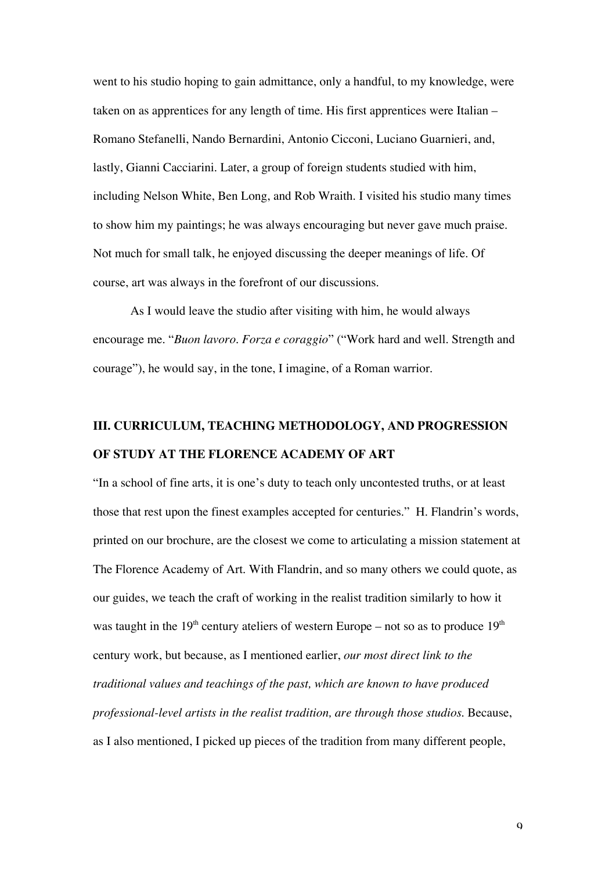went to his studio hoping to gain admittance, only a handful, to my knowledge, were taken on as apprentices for any length of time. His first apprentices were Italian – Romano Stefanelli, Nando Bernardini, Antonio Cicconi, Luciano Guarnieri, and, lastly, Gianni Cacciarini. Later, a group of foreign students studied with him, including Nelson White, Ben Long, and Rob Wraith. I visited his studio many times to show him my paintings; he was always encouraging but never gave much praise. Not much for small talk, he enjoyed discussing the deeper meanings of life. Of course, art was always in the forefront of our discussions.

As I would leave the studio after visiting with him, he would always encourage me. "*Buon lavoro*. *Forza e coraggio*" ("Work hard and well. Strength and courage"), he would say, in the tone, I imagine, of a Roman warrior.

# **III. CURRICULUM, TEACHING METHODOLOGY, AND PROGRESSION OF STUDY AT THE FLORENCE ACADEMY OF ART**

"In a school of fine arts, it is one's duty to teach only uncontested truths, or at least those that rest upon the finest examples accepted for centuries." H. Flandrin's words, printed on our brochure, are the closest we come to articulating a mission statement at The Florence Academy of Art. With Flandrin, and so many others we could quote, as our guides, we teach the craft of working in the realist tradition similarly to how it was taught in the  $19<sup>th</sup>$  century ateliers of western Europe – not so as to produce  $19<sup>th</sup>$ century work, but because, as I mentioned earlier, *our most direct link to the traditional values and teachings of the past, which are known to have produced professional-level artists in the realist tradition, are through those studios*. Because, as I also mentioned, I picked up pieces of the tradition from many different people,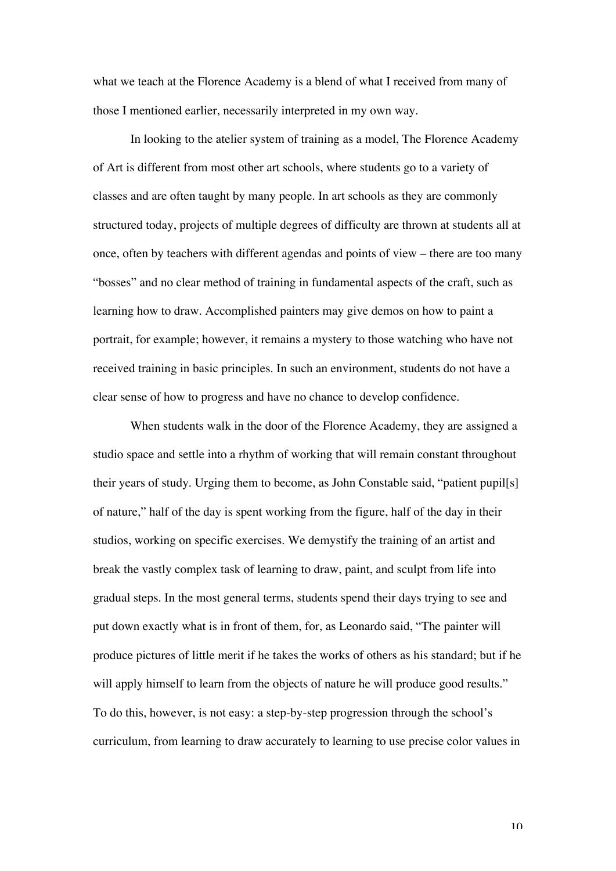what we teach at the Florence Academy is a blend of what I received from many of those I mentioned earlier, necessarily interpreted in my own way.

In looking to the atelier system of training as a model, The Florence Academy of Art is different from most other art schools, where students go to a variety of classes and are often taught by many people. In art schools as they are commonly structured today, projects of multiple degrees of difficulty are thrown at students all at once, often by teachers with different agendas and points of view – there are too many "bosses" and no clear method of training in fundamental aspects of the craft, such as learning how to draw. Accomplished painters may give demos on how to paint a portrait, for example; however, it remains a mystery to those watching who have not received training in basic principles. In such an environment, students do not have a clear sense of how to progress and have no chance to develop confidence.

When students walk in the door of the Florence Academy, they are assigned a studio space and settle into a rhythm of working that will remain constant throughout their years of study. Urging them to become, as John Constable said, "patient pupil[s] of nature," half of the day is spent working from the figure, half of the day in their studios, working on specific exercises. We demystify the training of an artist and break the vastly complex task of learning to draw, paint, and sculpt from life into gradual steps. In the most general terms, students spend their days trying to see and put down exactly what is in front of them, for, as Leonardo said, "The painter will produce pictures of little merit if he takes the works of others as his standard; but if he will apply himself to learn from the objects of nature he will produce good results." To do this, however, is not easy: a step-by-step progression through the school's curriculum, from learning to draw accurately to learning to use precise color values in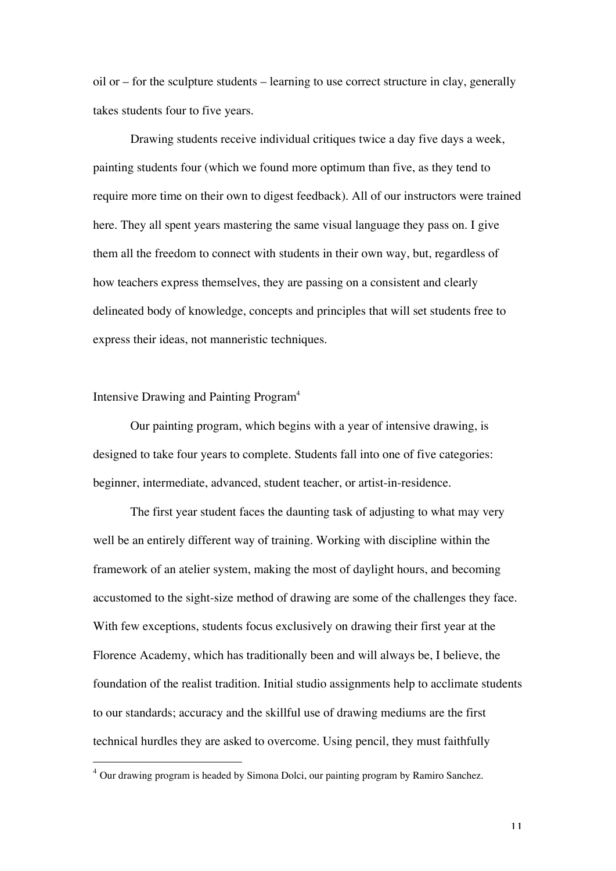oil or – for the sculpture students – learning to use correct structure in clay, generally takes students four to five years.

Drawing students receive individual critiques twice a day five days a week, painting students four (which we found more optimum than five, as they tend to require more time on their own to digest feedback). All of our instructors were trained here. They all spent years mastering the same visual language they pass on. I give them all the freedom to connect with students in their own way, but, regardless of how teachers express themselves, they are passing on a consistent and clearly delineated body of knowledge, concepts and principles that will set students free to express their ideas, not manneristic techniques.

## Intensive Drawing and Painting Program<sup>4</sup>

-

Our painting program, which begins with a year of intensive drawing, is designed to take four years to complete. Students fall into one of five categories: beginner, intermediate, advanced, student teacher, or artist-in-residence.

The first year student faces the daunting task of adjusting to what may very well be an entirely different way of training. Working with discipline within the framework of an atelier system, making the most of daylight hours, and becoming accustomed to the sight-size method of drawing are some of the challenges they face. With few exceptions, students focus exclusively on drawing their first year at the Florence Academy, which has traditionally been and will always be, I believe, the foundation of the realist tradition. Initial studio assignments help to acclimate students to our standards; accuracy and the skillful use of drawing mediums are the first technical hurdles they are asked to overcome. Using pencil, they must faithfully

 $4$  Our drawing program is headed by Simona Dolci, our painting program by Ramiro Sanchez.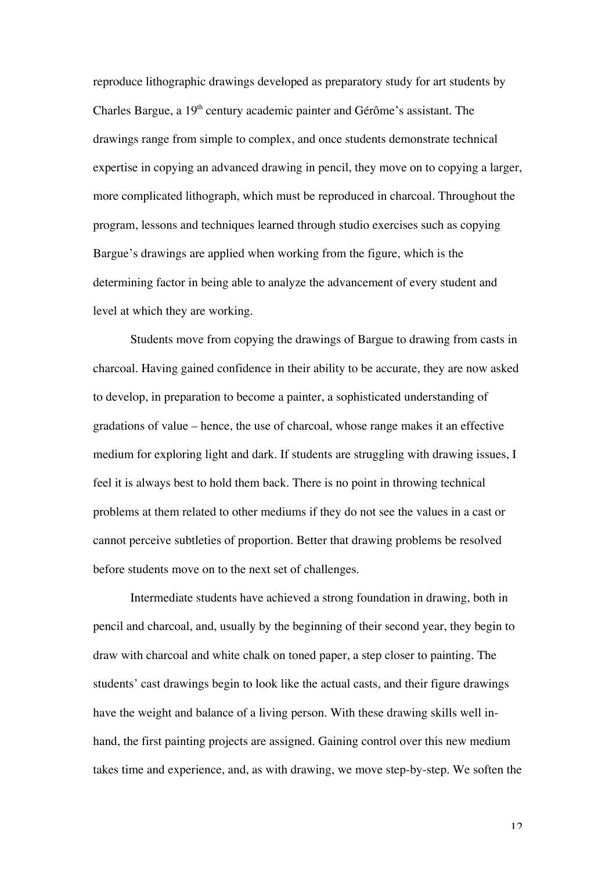reproduce lithographic drawings developed as preparatory study for art students by Charles Bargue, a 19<sup>th</sup> century academic painter and Gérôme's assistant. The drawings range from simple to complex, and once students demonstrate technical expertise in copying an advanced drawing in pencil, they move on to copying a larger, more complicated lithograph, which must be reproduced in charcoal. Throughout the program, lessons and techniques learned through studio exercises such as copying Bargue's drawings are applied when working from the figure, which is the determining factor in being able to analyze the advancement of every student and level at which they are working.

Students move from copying the drawings of Bargue to drawing from casts in charcoal. Having gained confidence in their ability to be accurate, they are now asked to develop, in preparation to become a painter, a sophisticated understanding of gradations of value – hence, the use of charcoal, whose range makes it an effective medium for exploring light and dark. If students are struggling with drawing issues, I feel it is always best to hold them back. There is no point in throwing technical problems at them related to other mediums if they do not see the values in a cast or cannot perceive subtleties of proportion. Better that drawing problems be resolved before students move on to the next set of challenges.

Intermediate students have achieved a strong foundation in drawing, both in pencil and charcoal, and, usually by the beginning of their second year, they begin to draw with charcoal and white chalk on toned paper, a step closer to painting. The students' cast drawings begin to look like the actual casts, and their figure drawings have the weight and balance of a living person. With these drawing skills well inhand, the first painting projects are assigned. Gaining control over this new medium takes time and experience, and, as with drawing, we move step-by-step. We soften the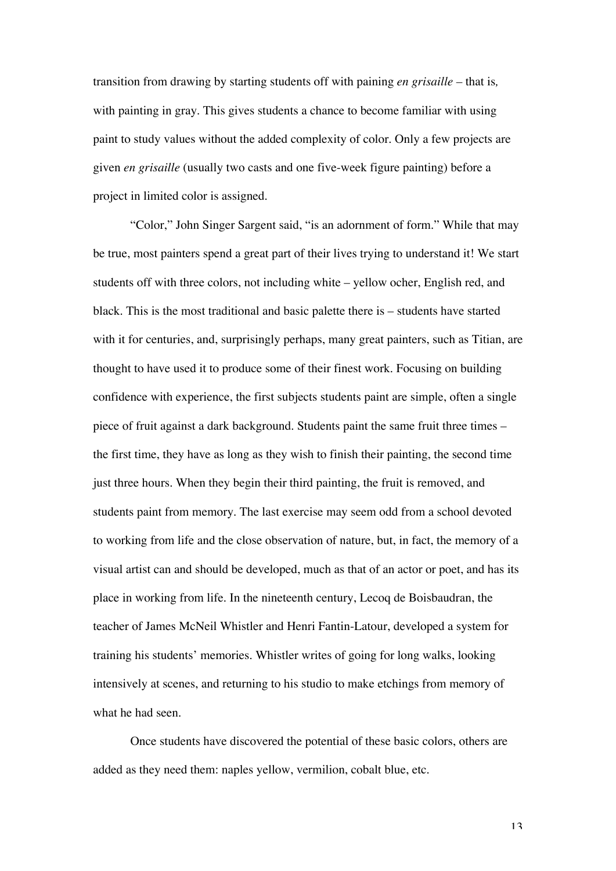transition from drawing by starting students off with paining *en grisaille –* that is*,* with painting in gray. This gives students a chance to become familiar with using paint to study values without the added complexity of color. Only a few projects are given *en grisaille* (usually two casts and one five-week figure painting) before a project in limited color is assigned.

"Color," John Singer Sargent said, "is an adornment of form." While that may be true, most painters spend a great part of their lives trying to understand it! We start students off with three colors, not including white – yellow ocher, English red, and black. This is the most traditional and basic palette there is – students have started with it for centuries, and, surprisingly perhaps, many great painters, such as Titian, are thought to have used it to produce some of their finest work. Focusing on building confidence with experience, the first subjects students paint are simple, often a single piece of fruit against a dark background. Students paint the same fruit three times – the first time, they have as long as they wish to finish their painting, the second time just three hours. When they begin their third painting, the fruit is removed, and students paint from memory. The last exercise may seem odd from a school devoted to working from life and the close observation of nature, but, in fact, the memory of a visual artist can and should be developed, much as that of an actor or poet, and has its place in working from life. In the nineteenth century, Lecoq de Boisbaudran, the teacher of James McNeil Whistler and Henri Fantin-Latour, developed a system for training his students' memories. Whistler writes of going for long walks, looking intensively at scenes, and returning to his studio to make etchings from memory of what he had seen.

Once students have discovered the potential of these basic colors, others are added as they need them: naples yellow, vermilion, cobalt blue, etc.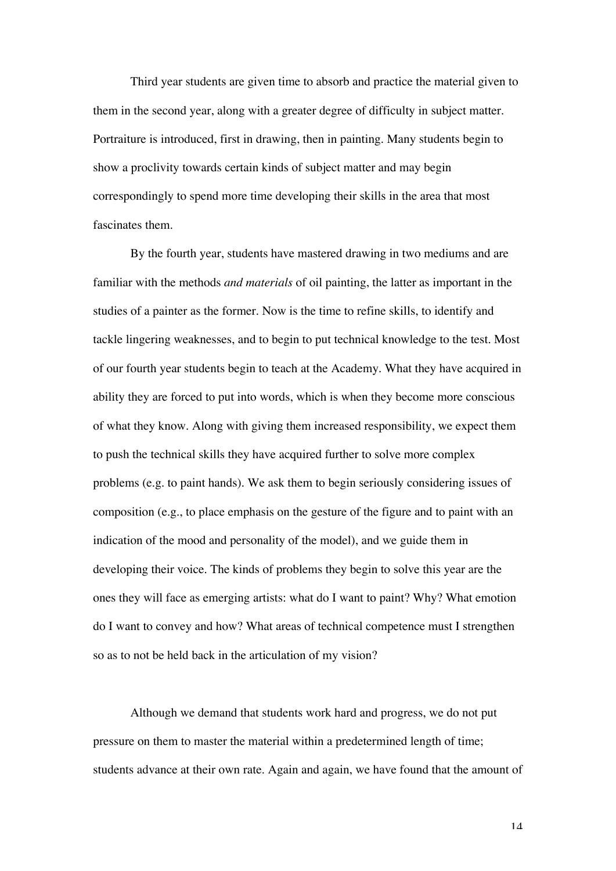Third year students are given time to absorb and practice the material given to them in the second year, along with a greater degree of difficulty in subject matter. Portraiture is introduced, first in drawing, then in painting. Many students begin to show a proclivity towards certain kinds of subject matter and may begin correspondingly to spend more time developing their skills in the area that most fascinates them.

By the fourth year, students have mastered drawing in two mediums and are familiar with the methods *and materials* of oil painting, the latter as important in the studies of a painter as the former. Now is the time to refine skills, to identify and tackle lingering weaknesses, and to begin to put technical knowledge to the test. Most of our fourth year students begin to teach at the Academy. What they have acquired in ability they are forced to put into words, which is when they become more conscious of what they know. Along with giving them increased responsibility, we expect them to push the technical skills they have acquired further to solve more complex problems (e.g. to paint hands). We ask them to begin seriously considering issues of composition (e.g., to place emphasis on the gesture of the figure and to paint with an indication of the mood and personality of the model), and we guide them in developing their voice. The kinds of problems they begin to solve this year are the ones they will face as emerging artists: what do I want to paint? Why? What emotion do I want to convey and how? What areas of technical competence must I strengthen so as to not be held back in the articulation of my vision?

Although we demand that students work hard and progress, we do not put pressure on them to master the material within a predetermined length of time; students advance at their own rate. Again and again, we have found that the amount of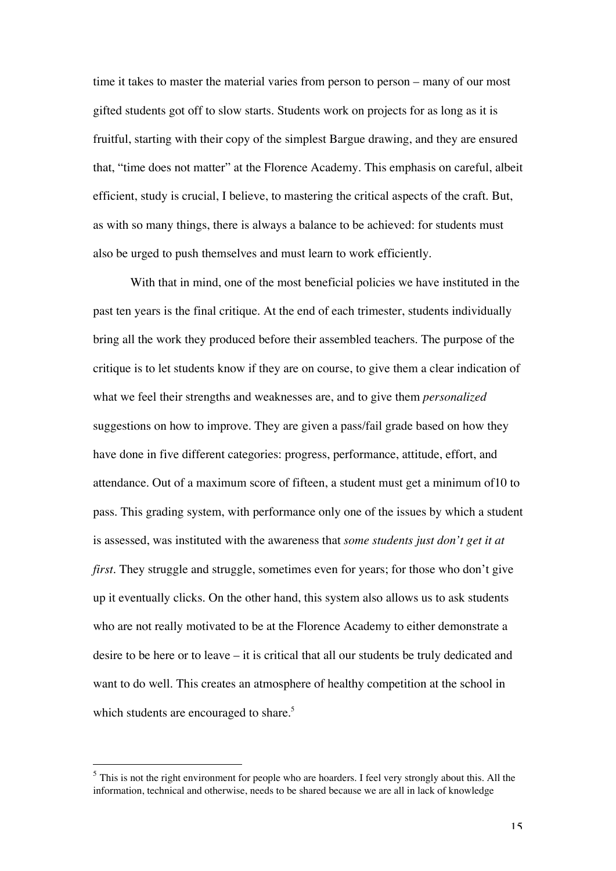time it takes to master the material varies from person to person – many of our most gifted students got off to slow starts. Students work on projects for as long as it is fruitful, starting with their copy of the simplest Bargue drawing, and they are ensured that, "time does not matter" at the Florence Academy. This emphasis on careful, albeit efficient, study is crucial, I believe, to mastering the critical aspects of the craft. But, as with so many things, there is always a balance to be achieved: for students must also be urged to push themselves and must learn to work efficiently.

With that in mind, one of the most beneficial policies we have instituted in the past ten years is the final critique. At the end of each trimester, students individually bring all the work they produced before their assembled teachers. The purpose of the critique is to let students know if they are on course, to give them a clear indication of what we feel their strengths and weaknesses are, and to give them *personalized* suggestions on how to improve. They are given a pass/fail grade based on how they have done in five different categories: progress, performance, attitude, effort, and attendance. Out of a maximum score of fifteen, a student must get a minimum of10 to pass. This grading system, with performance only one of the issues by which a student is assessed, was instituted with the awareness that *some students just don't get it at first*. They struggle and struggle, sometimes even for years; for those who don't give up it eventually clicks. On the other hand, this system also allows us to ask students who are not really motivated to be at the Florence Academy to either demonstrate a desire to be here or to leave – it is critical that all our students be truly dedicated and want to do well. This creates an atmosphere of healthy competition at the school in which students are encouraged to share.<sup>5</sup>

-

 $<sup>5</sup>$  This is not the right environment for people who are hoarders. I feel very strongly about this. All the</sup> information, technical and otherwise, needs to be shared because we are all in lack of knowledge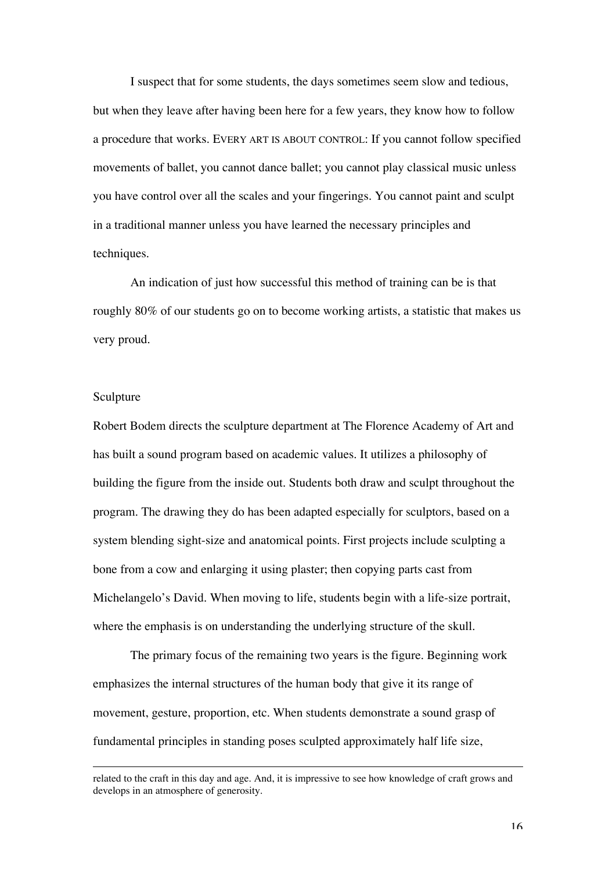I suspect that for some students, the days sometimes seem slow and tedious, but when they leave after having been here for a few years, they know how to follow a procedure that works. EVERY ART IS ABOUT CONTROL: If you cannot follow specified movements of ballet, you cannot dance ballet; you cannot play classical music unless you have control over all the scales and your fingerings. You cannot paint and sculpt in a traditional manner unless you have learned the necessary principles and techniques.

An indication of just how successful this method of training can be is that roughly 80% of our students go on to become working artists, a statistic that makes us very proud.

#### Sculpture

-

Robert Bodem directs the sculpture department at The Florence Academy of Art and has built a sound program based on academic values. It utilizes a philosophy of building the figure from the inside out. Students both draw and sculpt throughout the program. The drawing they do has been adapted especially for sculptors, based on a system blending sight-size and anatomical points. First projects include sculpting a bone from a cow and enlarging it using plaster; then copying parts cast from Michelangelo's David. When moving to life, students begin with a life-size portrait, where the emphasis is on understanding the underlying structure of the skull.

The primary focus of the remaining two years is the figure. Beginning work emphasizes the internal structures of the human body that give it its range of movement, gesture, proportion, etc. When students demonstrate a sound grasp of fundamental principles in standing poses sculpted approximately half life size,

related to the craft in this day and age. And, it is impressive to see how knowledge of craft grows and develops in an atmosphere of generosity.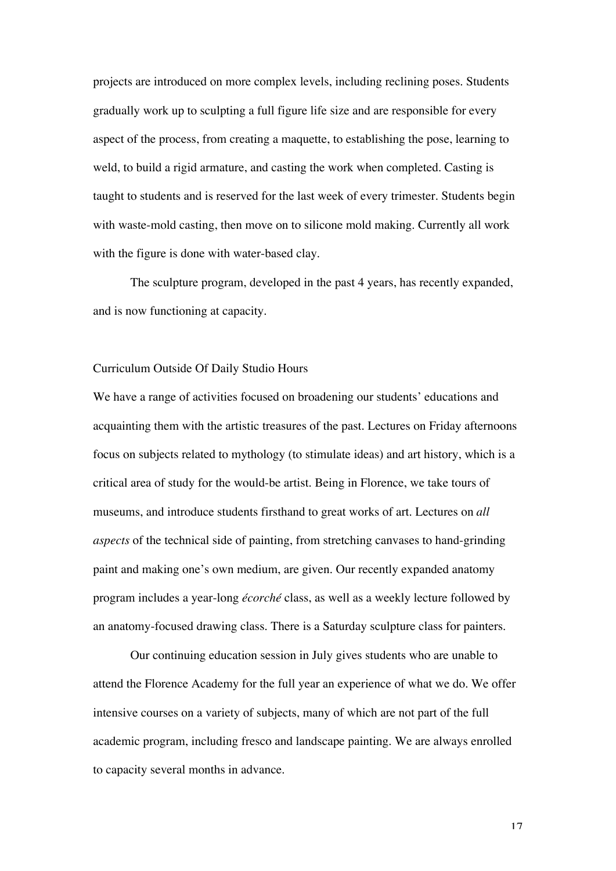projects are introduced on more complex levels, including reclining poses. Students gradually work up to sculpting a full figure life size and are responsible for every aspect of the process, from creating a maquette, to establishing the pose, learning to weld, to build a rigid armature, and casting the work when completed. Casting is taught to students and is reserved for the last week of every trimester. Students begin with waste-mold casting, then move on to silicone mold making. Currently all work with the figure is done with water-based clay.

The sculpture program, developed in the past 4 years, has recently expanded, and is now functioning at capacity.

#### Curriculum Outside Of Daily Studio Hours

We have a range of activities focused on broadening our students' educations and acquainting them with the artistic treasures of the past. Lectures on Friday afternoons focus on subjects related to mythology (to stimulate ideas) and art history, which is a critical area of study for the would-be artist. Being in Florence, we take tours of museums, and introduce students firsthand to great works of art. Lectures on *all aspects* of the technical side of painting, from stretching canvases to hand-grinding paint and making one's own medium, are given. Our recently expanded anatomy program includes a year-long *écorché* class, as well as a weekly lecture followed by an anatomy-focused drawing class. There is a Saturday sculpture class for painters.

Our continuing education session in July gives students who are unable to attend the Florence Academy for the full year an experience of what we do. We offer intensive courses on a variety of subjects, many of which are not part of the full academic program, including fresco and landscape painting. We are always enrolled to capacity several months in advance.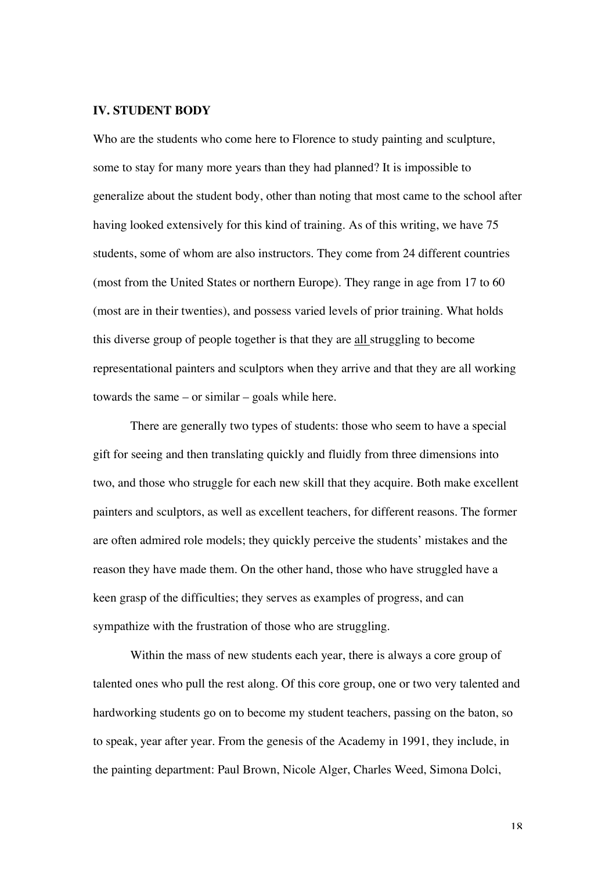### **IV. STUDENT BODY**

Who are the students who come here to Florence to study painting and sculpture, some to stay for many more years than they had planned? It is impossible to generalize about the student body, other than noting that most came to the school after having looked extensively for this kind of training. As of this writing, we have 75 students, some of whom are also instructors. They come from 24 different countries (most from the United States or northern Europe). They range in age from 17 to 60 (most are in their twenties), and possess varied levels of prior training. What holds this diverse group of people together is that they are all struggling to become representational painters and sculptors when they arrive and that they are all working towards the same – or similar – goals while here.

There are generally two types of students: those who seem to have a special gift for seeing and then translating quickly and fluidly from three dimensions into two, and those who struggle for each new skill that they acquire. Both make excellent painters and sculptors, as well as excellent teachers, for different reasons. The former are often admired role models; they quickly perceive the students' mistakes and the reason they have made them. On the other hand, those who have struggled have a keen grasp of the difficulties; they serves as examples of progress, and can sympathize with the frustration of those who are struggling.

Within the mass of new students each year, there is always a core group of talented ones who pull the rest along. Of this core group, one or two very talented and hardworking students go on to become my student teachers, passing on the baton, so to speak, year after year. From the genesis of the Academy in 1991, they include, in the painting department: Paul Brown, Nicole Alger, Charles Weed, Simona Dolci,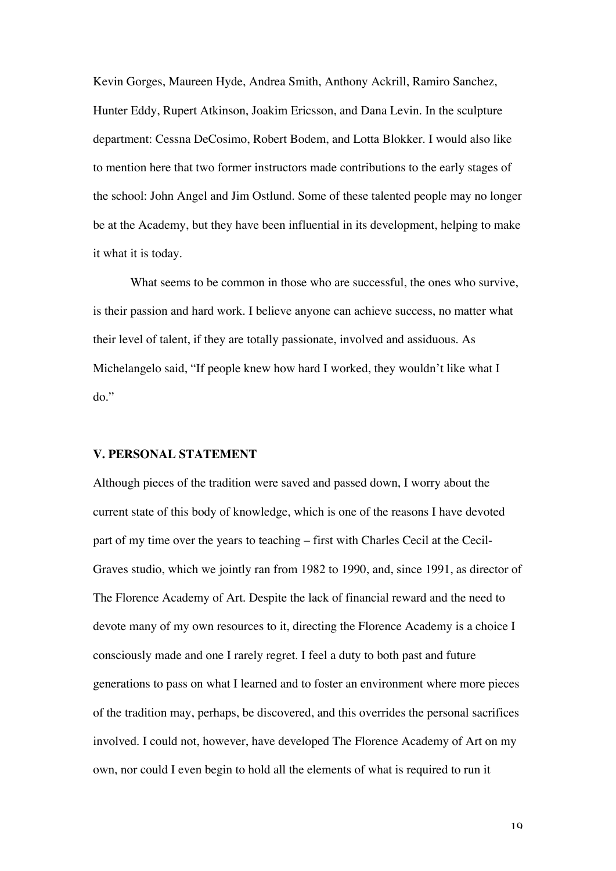Kevin Gorges, Maureen Hyde, Andrea Smith, Anthony Ackrill, Ramiro Sanchez, Hunter Eddy, Rupert Atkinson, Joakim Ericsson, and Dana Levin. In the sculpture department: Cessna DeCosimo, Robert Bodem, and Lotta Blokker. I would also like to mention here that two former instructors made contributions to the early stages of the school: John Angel and Jim Ostlund. Some of these talented people may no longer be at the Academy, but they have been influential in its development, helping to make it what it is today.

What seems to be common in those who are successful, the ones who survive, is their passion and hard work. I believe anyone can achieve success, no matter what their level of talent, if they are totally passionate, involved and assiduous. As Michelangelo said, "If people knew how hard I worked, they wouldn't like what I do."

#### **V. PERSONAL STATEMENT**

Although pieces of the tradition were saved and passed down, I worry about the current state of this body of knowledge, which is one of the reasons I have devoted part of my time over the years to teaching – first with Charles Cecil at the Cecil-Graves studio, which we jointly ran from 1982 to 1990, and, since 1991, as director of The Florence Academy of Art. Despite the lack of financial reward and the need to devote many of my own resources to it, directing the Florence Academy is a choice I consciously made and one I rarely regret. I feel a duty to both past and future generations to pass on what I learned and to foster an environment where more pieces of the tradition may, perhaps, be discovered, and this overrides the personal sacrifices involved. I could not, however, have developed The Florence Academy of Art on my own, nor could I even begin to hold all the elements of what is required to run it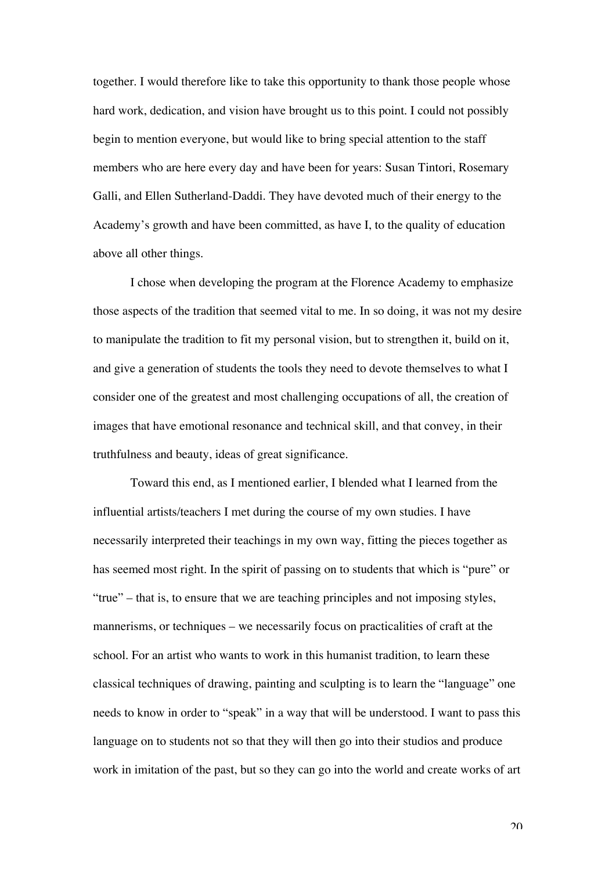together. I would therefore like to take this opportunity to thank those people whose hard work, dedication, and vision have brought us to this point. I could not possibly begin to mention everyone, but would like to bring special attention to the staff members who are here every day and have been for years: Susan Tintori, Rosemary Galli, and Ellen Sutherland-Daddi. They have devoted much of their energy to the Academy's growth and have been committed, as have I, to the quality of education above all other things.

I chose when developing the program at the Florence Academy to emphasize those aspects of the tradition that seemed vital to me. In so doing, it was not my desire to manipulate the tradition to fit my personal vision, but to strengthen it, build on it, and give a generation of students the tools they need to devote themselves to what I consider one of the greatest and most challenging occupations of all, the creation of images that have emotional resonance and technical skill, and that convey, in their truthfulness and beauty, ideas of great significance.

Toward this end, as I mentioned earlier, I blended what I learned from the influential artists/teachers I met during the course of my own studies. I have necessarily interpreted their teachings in my own way, fitting the pieces together as has seemed most right. In the spirit of passing on to students that which is "pure" or "true" – that is, to ensure that we are teaching principles and not imposing styles, mannerisms, or techniques – we necessarily focus on practicalities of craft at the school. For an artist who wants to work in this humanist tradition, to learn these classical techniques of drawing, painting and sculpting is to learn the "language" one needs to know in order to "speak" in a way that will be understood. I want to pass this language on to students not so that they will then go into their studios and produce work in imitation of the past, but so they can go into the world and create works of art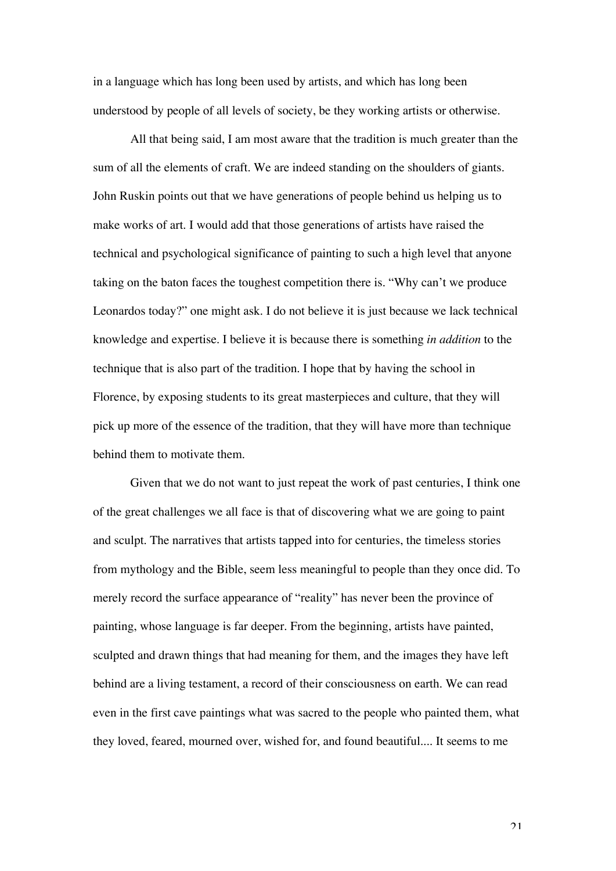in a language which has long been used by artists, and which has long been understood by people of all levels of society, be they working artists or otherwise.

All that being said, I am most aware that the tradition is much greater than the sum of all the elements of craft. We are indeed standing on the shoulders of giants. John Ruskin points out that we have generations of people behind us helping us to make works of art. I would add that those generations of artists have raised the technical and psychological significance of painting to such a high level that anyone taking on the baton faces the toughest competition there is. "Why can't we produce Leonardos today?" one might ask. I do not believe it is just because we lack technical knowledge and expertise. I believe it is because there is something *in addition* to the technique that is also part of the tradition. I hope that by having the school in Florence, by exposing students to its great masterpieces and culture, that they will pick up more of the essence of the tradition, that they will have more than technique behind them to motivate them.

Given that we do not want to just repeat the work of past centuries, I think one of the great challenges we all face is that of discovering what we are going to paint and sculpt. The narratives that artists tapped into for centuries, the timeless stories from mythology and the Bible, seem less meaningful to people than they once did. To merely record the surface appearance of "reality" has never been the province of painting, whose language is far deeper. From the beginning, artists have painted, sculpted and drawn things that had meaning for them, and the images they have left behind are a living testament, a record of their consciousness on earth. We can read even in the first cave paintings what was sacred to the people who painted them, what they loved, feared, mourned over, wished for, and found beautiful.... It seems to me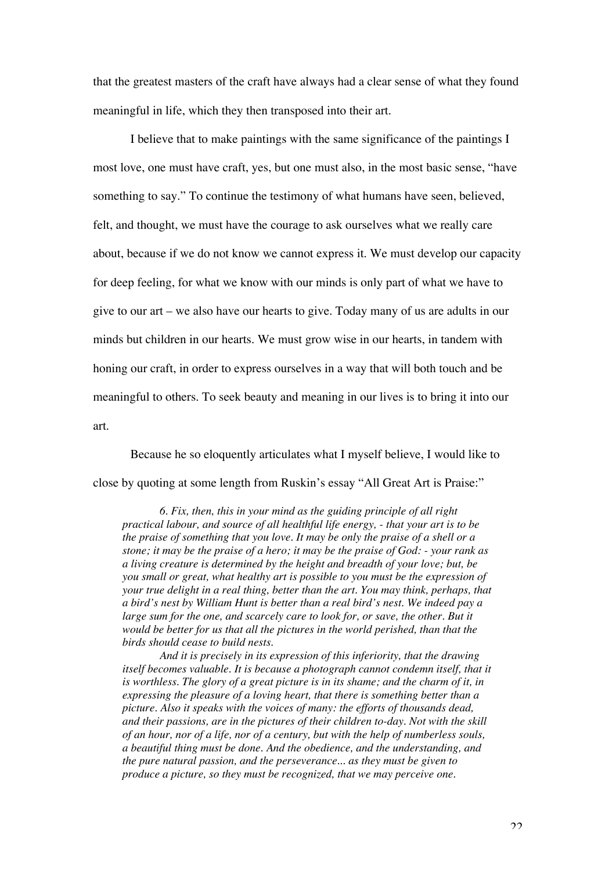that the greatest masters of the craft have always had a clear sense of what they found meaningful in life, which they then transposed into their art.

I believe that to make paintings with the same significance of the paintings I most love, one must have craft, yes, but one must also, in the most basic sense, "have something to say." To continue the testimony of what humans have seen, believed, felt, and thought, we must have the courage to ask ourselves what we really care about, because if we do not know we cannot express it. We must develop our capacity for deep feeling, for what we know with our minds is only part of what we have to give to our art – we also have our hearts to give. Today many of us are adults in our minds but children in our hearts. We must grow wise in our hearts, in tandem with honing our craft, in order to express ourselves in a way that will both touch and be meaningful to others. To seek beauty and meaning in our lives is to bring it into our art.

Because he so eloquently articulates what I myself believe, I would like to close by quoting at some length from Ruskin's essay "All Great Art is Praise:"

*6. Fix, then, this in your mind as the guiding principle of all right practical labour, and source of all healthful life energy, - that your art is to be the praise of something that you love. It may be only the praise of a shell or a stone; it may be the praise of a hero; it may be the praise of God: - your rank as a living creature is determined by the height and breadth of your love; but, be you small or great, what healthy art is possible to you must be the expression of your true delight in a real thing, better than the art. You may think, perhaps, that a bird's nest by William Hunt is better than a real bird's nest. We indeed pay a large sum for the one, and scarcely care to look for, or save, the other. But it would be better for us that all the pictures in the world perished, than that the birds should cease to build nests.*

*And it is precisely in its expression of this inferiority, that the drawing itself becomes valuable. It is because a photograph cannot condemn itself, that it is worthless. The glory of a great picture is in its shame; and the charm of it, in expressing the pleasure of a loving heart, that there is something better than a picture. Also it speaks with the voices of many: the efforts of thousands dead, and their passions, are in the pictures of their children to-day. Not with the skill of an hour, nor of a life, nor of a century, but with the help of numberless souls, a beautiful thing must be done. And the obedience, and the understanding, and the pure natural passion, and the perseverance... as they must be given to produce a picture, so they must be recognized, that we may perceive one.*